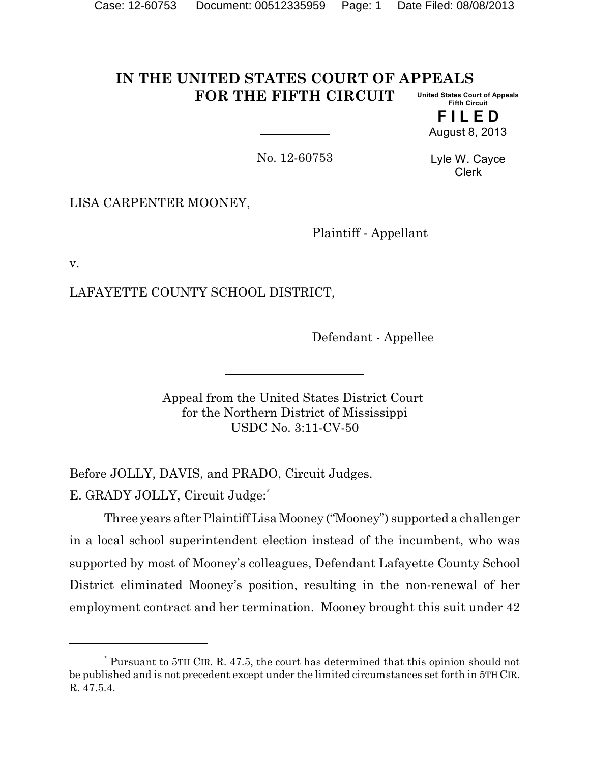#### **IN THE UNITED STATES COURT OF APPEALS FOR THE FIFTH CIRCUIT United States Court of Appeals Fifth Circuit**

**F I L E D** August 8, 2013

No. 12-60753

Lyle W. Cayce Clerk

LISA CARPENTER MOONEY,

Plaintiff - Appellant

v.

LAFAYETTE COUNTY SCHOOL DISTRICT,

Defendant - Appellee

Appeal from the United States District Court for the Northern District of Mississippi USDC No. 3:11-CV-50

Before JOLLY, DAVIS, and PRADO, Circuit Judges.

E. GRADY JOLLY, Circuit Judge:\*

Three years after PlaintiffLisa Mooney ("Mooney") supported a challenger in a local school superintendent election instead of the incumbent, who was supported by most of Mooney's colleagues, Defendant Lafayette County School District eliminated Mooney's position, resulting in the non-renewal of her employment contract and her termination. Mooney brought this suit under 42

<sup>\*</sup> Pursuant to 5TH CIR. R. 47.5, the court has determined that this opinion should not be published and is not precedent except under the limited circumstances set forth in 5TH CIR. R. 47.5.4.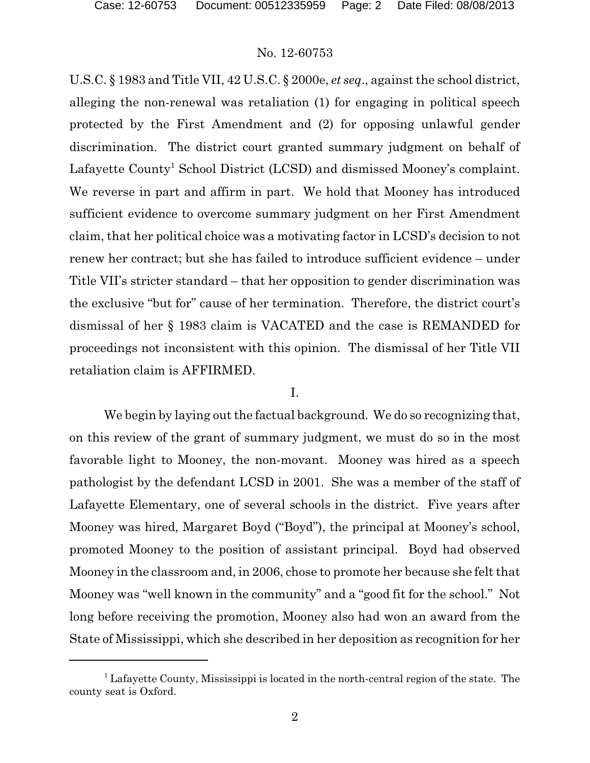U.S.C. § 1983 and Title VII, 42 U.S.C. § 2000e, *et seq*., against the school district, alleging the non-renewal was retaliation (1) for engaging in political speech protected by the First Amendment and (2) for opposing unlawful gender discrimination. The district court granted summary judgment on behalf of Lafayette County<sup>1</sup> School District (LCSD) and dismissed Mooney's complaint. We reverse in part and affirm in part. We hold that Mooney has introduced sufficient evidence to overcome summary judgment on her First Amendment claim, that her political choice was a motivating factor in LCSD's decision to not renew her contract; but she has failed to introduce sufficient evidence – under Title VII's stricter standard – that her opposition to gender discrimination was the exclusive "but for" cause of her termination. Therefore, the district court's dismissal of her § 1983 claim is VACATED and the case is REMANDED for proceedings not inconsistent with this opinion. The dismissal of her Title VII retaliation claim is AFFIRMED.

#### I.

We begin by laying out the factual background. We do so recognizing that, on this review of the grant of summary judgment, we must do so in the most favorable light to Mooney, the non-movant. Mooney was hired as a speech pathologist by the defendant LCSD in 2001. She was a member of the staff of Lafayette Elementary, one of several schools in the district. Five years after Mooney was hired, Margaret Boyd ("Boyd"), the principal at Mooney's school, promoted Mooney to the position of assistant principal. Boyd had observed Mooney in the classroom and, in 2006, chose to promote her because she felt that Mooney was "well known in the community" and a "good fit for the school." Not long before receiving the promotion, Mooney also had won an award from the State of Mississippi, which she described in her deposition as recognition for her

 $1$  Lafayette County, Mississippi is located in the north-central region of the state. The county seat is Oxford.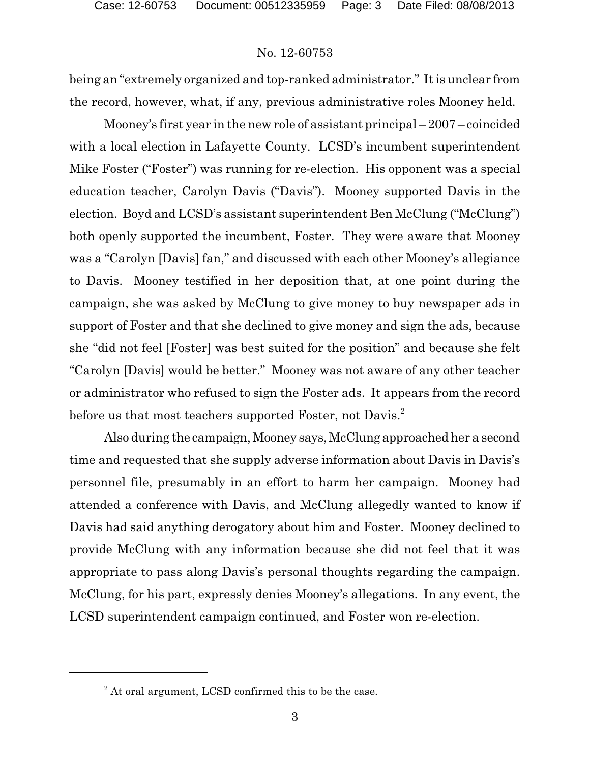being an "extremely organized and top-ranked administrator." It is unclear from the record, however, what, if any, previous administrative roles Mooney held.

Mooney's first year in the new role of assistant principal – 2007 – coincided with a local election in Lafayette County. LCSD's incumbent superintendent Mike Foster ("Foster") was running for re-election. His opponent was a special education teacher, Carolyn Davis ("Davis"). Mooney supported Davis in the election. Boyd and LCSD's assistant superintendent Ben McClung ("McClung") both openly supported the incumbent, Foster. They were aware that Mooney was a "Carolyn [Davis] fan," and discussed with each other Mooney's allegiance to Davis. Mooney testified in her deposition that, at one point during the campaign, she was asked by McClung to give money to buy newspaper ads in support of Foster and that she declined to give money and sign the ads, because she "did not feel [Foster] was best suited for the position" and because she felt "Carolyn [Davis] would be better." Mooney was not aware of any other teacher or administrator who refused to sign the Foster ads. It appears from the record before us that most teachers supported Foster, not Davis.<sup>2</sup>

Also during the campaign, Mooney says, McClung approached her a second time and requested that she supply adverse information about Davis in Davis's personnel file, presumably in an effort to harm her campaign. Mooney had attended a conference with Davis, and McClung allegedly wanted to know if Davis had said anything derogatory about him and Foster. Mooney declined to provide McClung with any information because she did not feel that it was appropriate to pass along Davis's personal thoughts regarding the campaign. McClung, for his part, expressly denies Mooney's allegations. In any event, the LCSD superintendent campaign continued, and Foster won re-election.

<sup>&</sup>lt;sup>2</sup> At oral argument, LCSD confirmed this to be the case.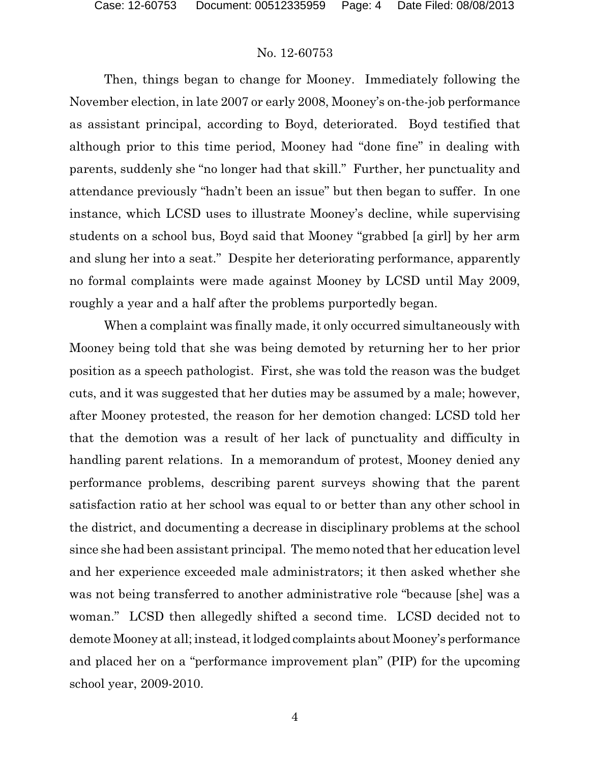Then, things began to change for Mooney. Immediately following the November election, in late 2007 or early 2008, Mooney's on-the-job performance as assistant principal, according to Boyd, deteriorated. Boyd testified that although prior to this time period, Mooney had "done fine" in dealing with parents, suddenly she "no longer had that skill." Further, her punctuality and attendance previously "hadn't been an issue" but then began to suffer. In one instance, which LCSD uses to illustrate Mooney's decline, while supervising students on a school bus, Boyd said that Mooney "grabbed [a girl] by her arm and slung her into a seat." Despite her deteriorating performance, apparently no formal complaints were made against Mooney by LCSD until May 2009, roughly a year and a half after the problems purportedly began.

When a complaint was finally made, it only occurred simultaneously with Mooney being told that she was being demoted by returning her to her prior position as a speech pathologist. First, she was told the reason was the budget cuts, and it was suggested that her duties may be assumed by a male; however, after Mooney protested, the reason for her demotion changed: LCSD told her that the demotion was a result of her lack of punctuality and difficulty in handling parent relations. In a memorandum of protest, Mooney denied any performance problems, describing parent surveys showing that the parent satisfaction ratio at her school was equal to or better than any other school in the district, and documenting a decrease in disciplinary problems at the school since she had been assistant principal. The memo noted that her education level and her experience exceeded male administrators; it then asked whether she was not being transferred to another administrative role "because [she] was a woman." LCSD then allegedly shifted a second time. LCSD decided not to demote Mooney at all; instead, it lodged complaints about Mooney's performance and placed her on a "performance improvement plan" (PIP) for the upcoming school year, 2009-2010.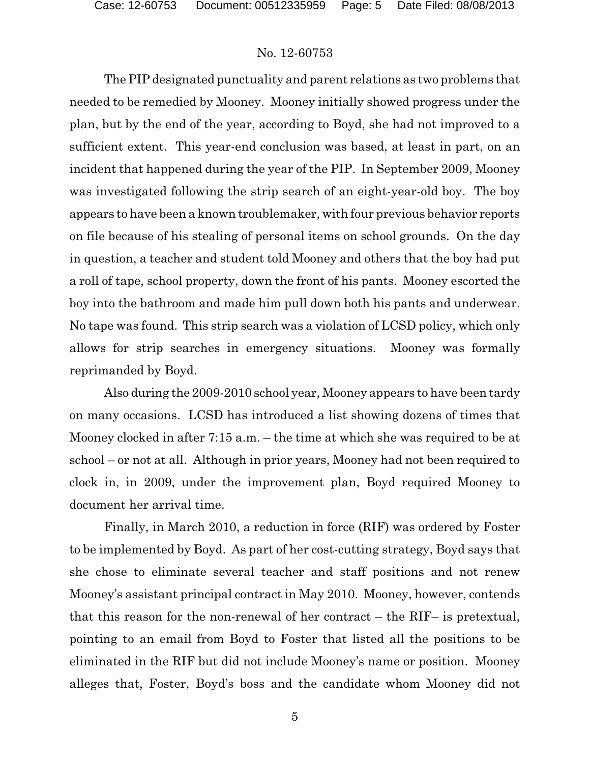The PIP designated punctuality and parent relations as two problems that needed to be remedied by Mooney. Mooney initially showed progress under the plan, but by the end of the year, according to Boyd, she had not improved to a sufficient extent. This year-end conclusion was based, at least in part, on an incident that happened during the year of the PIP. In September 2009, Mooney was investigated following the strip search of an eight-year-old boy. The boy appears to have been a known troublemaker, with four previous behavior reports on file because of his stealing of personal items on school grounds. On the day in question, a teacher and student told Mooney and others that the boy had put a roll of tape, school property, down the front of his pants. Mooney escorted the boy into the bathroom and made him pull down both his pants and underwear. No tape was found. This strip search was a violation of LCSD policy, which only allows for strip searches in emergency situations. Mooney was formally reprimanded by Boyd.

Also during the 2009-2010 school year, Mooney appears to have been tardy on many occasions. LCSD has introduced a list showing dozens of times that Mooney clocked in after 7:15 a.m. – the time at which she was required to be at school – or not at all. Although in prior years, Mooney had not been required to clock in, in 2009, under the improvement plan, Boyd required Mooney to document her arrival time.

Finally, in March 2010, a reduction in force (RIF) was ordered by Foster to be implemented by Boyd. As part of her cost-cutting strategy, Boyd says that she chose to eliminate several teacher and staff positions and not renew Mooney's assistant principal contract in May 2010. Mooney, however, contends that this reason for the non-renewal of her contract – the RIF– is pretextual, pointing to an email from Boyd to Foster that listed all the positions to be eliminated in the RIF but did not include Mooney's name or position. Mooney alleges that, Foster, Boyd's boss and the candidate whom Mooney did not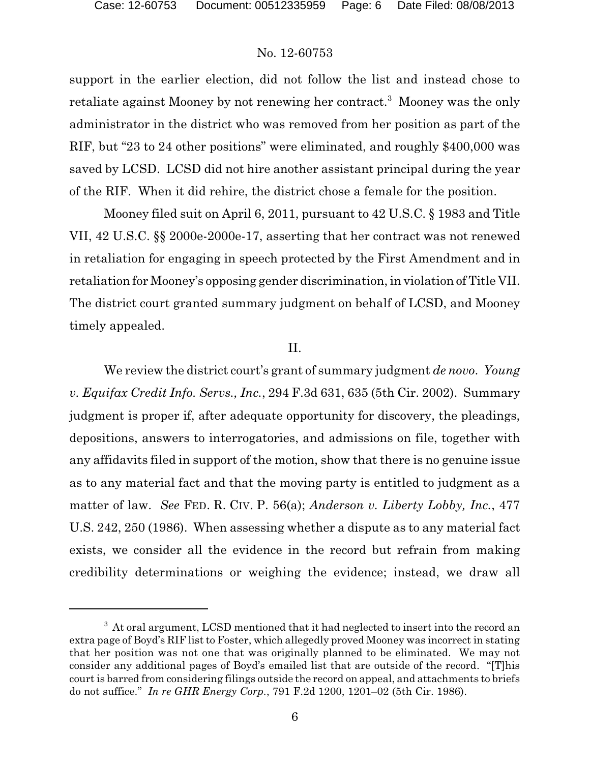support in the earlier election, did not follow the list and instead chose to retaliate against Mooney by not renewing her contract.<sup>3</sup> Mooney was the only administrator in the district who was removed from her position as part of the RIF, but "23 to 24 other positions" were eliminated, and roughly \$400,000 was saved by LCSD. LCSD did not hire another assistant principal during the year of the RIF. When it did rehire, the district chose a female for the position.

Mooney filed suit on April 6, 2011, pursuant to 42 U.S.C. § 1983 and Title VII, 42 U.S.C. §§ 2000e-2000e-17, asserting that her contract was not renewed in retaliation for engaging in speech protected by the First Amendment and in retaliation for Mooney's opposing gender discrimination, in violation of Title VII. The district court granted summary judgment on behalf of LCSD, and Mooney timely appealed.

# II.

We review the district court's grant of summary judgment *de novo*. *Young v. Equifax Credit Info. Servs., Inc.*, 294 F.3d 631, 635 (5th Cir. 2002). Summary judgment is proper if, after adequate opportunity for discovery, the pleadings, depositions, answers to interrogatories, and admissions on file, together with any affidavits filed in support of the motion, show that there is no genuine issue as to any material fact and that the moving party is entitled to judgment as a matter of law. *See* FED. R. CIV. P. 56(a); *Anderson v. Liberty Lobby, Inc.*, 477 U.S. 242, 250 (1986). When assessing whether a dispute as to any material fact exists, we consider all the evidence in the record but refrain from making credibility determinations or weighing the evidence; instead, we draw all

<sup>&</sup>lt;sup>3</sup> At oral argument, LCSD mentioned that it had neglected to insert into the record an extra page of Boyd's RIF list to Foster, which allegedly proved Mooney was incorrect in stating that her position was not one that was originally planned to be eliminated. We may not consider any additional pages of Boyd's emailed list that are outside of the record. "[T]his court is barred from considering filings outside the record on appeal, and attachments to briefs do not suffice." *In re GHR Energy Corp.*, 791 F.2d 1200, 1201–02 (5th Cir. 1986).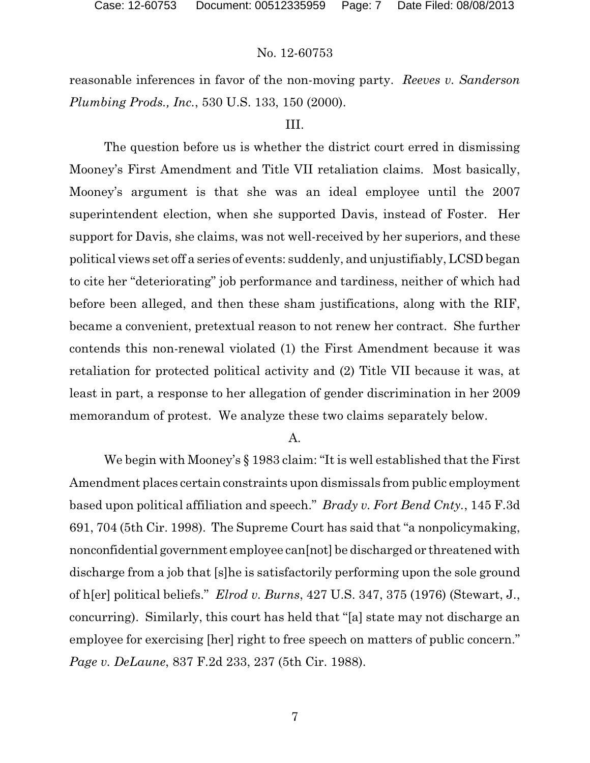reasonable inferences in favor of the non-moving party. *Reeves v. Sanderson Plumbing Prods., Inc.*, 530 U.S. 133, 150 (2000).

# III.

The question before us is whether the district court erred in dismissing Mooney's First Amendment and Title VII retaliation claims. Most basically, Mooney's argument is that she was an ideal employee until the 2007 superintendent election, when she supported Davis, instead of Foster. Her support for Davis, she claims, was not well-received by her superiors, and these political views set off a series of events: suddenly, and unjustifiably, LCSD began to cite her "deteriorating" job performance and tardiness, neither of which had before been alleged, and then these sham justifications, along with the RIF, became a convenient, pretextual reason to not renew her contract. She further contends this non-renewal violated (1) the First Amendment because it was retaliation for protected political activity and (2) Title VII because it was, at least in part, a response to her allegation of gender discrimination in her 2009 memorandum of protest. We analyze these two claims separately below.

A.

We begin with Mooney's § 1983 claim: "It is well established that the First Amendment places certain constraints upon dismissals from public employment based upon political affiliation and speech." *Brady v. Fort Bend Cnty.*, 145 F.3d 691, 704 (5th Cir. 1998). The Supreme Court has said that "a nonpolicymaking, nonconfidential government employee can[not] be discharged or threatened with discharge from a job that [s]he is satisfactorily performing upon the sole ground of h[er] political beliefs." *Elrod v. Burns*, 427 U.S. 347, 375 (1976) (Stewart, J., concurring). Similarly, this court has held that "[a] state may not discharge an employee for exercising [her] right to free speech on matters of public concern." *Page v. DeLaune*, 837 F.2d 233, 237 (5th Cir. 1988).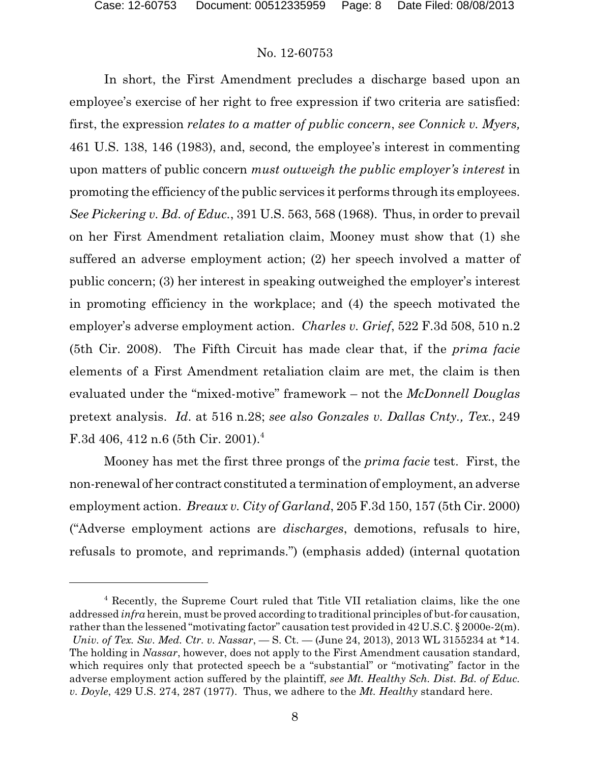In short, the First Amendment precludes a discharge based upon an employee's exercise of her right to free expression if two criteria are satisfied: first, the expression *relates to a matter of public concern*, *see Connick v. Myers,* 461 U.S. 138, 146 (1983), and, second*,* the employee's interest in commenting upon matters of public concern *must outweigh the public employer's interest* in promoting the efficiency of the public services it performs through its employees. *See Pickering v. Bd. of Educ.*, 391 U.S. 563, 568 (1968). Thus, in order to prevail on her First Amendment retaliation claim, Mooney must show that (1) she suffered an adverse employment action; (2) her speech involved a matter of public concern; (3) her interest in speaking outweighed the employer's interest in promoting efficiency in the workplace; and (4) the speech motivated the employer's adverse employment action. *Charles v. Grief*, 522 F.3d 508, 510 n.2 (5th Cir. 2008). The Fifth Circuit has made clear that, if the *prima facie* elements of a First Amendment retaliation claim are met, the claim is then evaluated under the "mixed-motive" framework – not the *McDonnell Douglas* pretext analysis. *Id*. at 516 n.28; *see also Gonzales v. Dallas Cnty., Tex.*, 249 F.3d 406, 412 n.6 (5th Cir. 2001).<sup>4</sup>

Mooney has met the first three prongs of the *prima facie* test. First, the non-renewal of her contract constituted a termination of employment, an adverse employment action. *Breaux v. City of Garland*, 205 F.3d 150, 157 (5th Cir. 2000) ("Adverse employment actions are *discharges*, demotions, refusals to hire, refusals to promote, and reprimands.") (emphasis added) (internal quotation

<sup>4</sup> Recently, the Supreme Court ruled that Title VII retaliation claims, like the one addressed *infra* herein, must be proved according to traditional principles of but-for causation, rather than the lessened "motivating factor" causation test provided in 42 U.S.C. § 2000e-2(m). *Univ. of Tex. Sw. Med. Ctr. v. Nassar*, — S. Ct. — (June 24, 2013), 2013 WL 3155234 at \*14. The holding in *Nassar*, however, does not apply to the First Amendment causation standard, which requires only that protected speech be a "substantial" or "motivating" factor in the adverse employment action suffered by the plaintiff, *see Mt. Healthy Sch. Dist. Bd. of Educ. v. Doyle*, 429 U.S. 274, 287 (1977). Thus, we adhere to the *Mt. Healthy* standard here.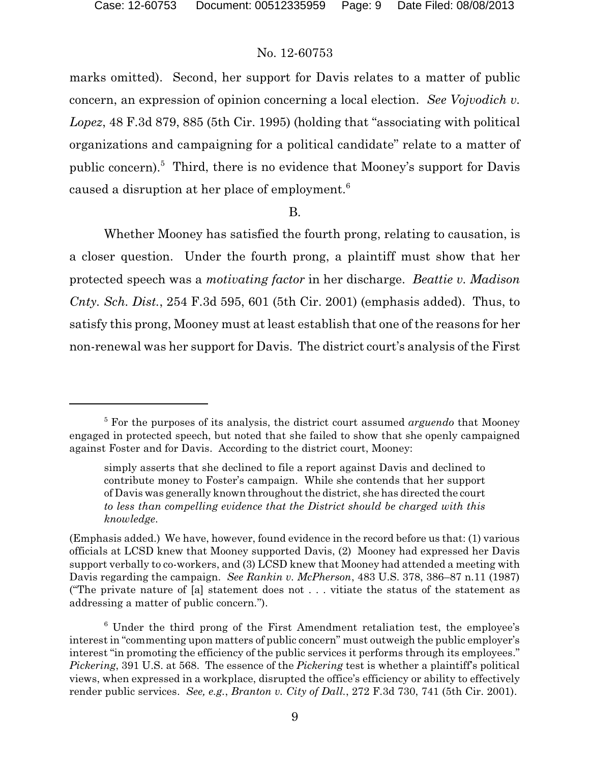marks omitted). Second, her support for Davis relates to a matter of public concern, an expression of opinion concerning a local election. *See Vojvodich v. Lopez*, 48 F.3d 879, 885 (5th Cir. 1995) (holding that "associating with political organizations and campaigning for a political candidate" relate to a matter of public concern).<sup>5</sup> Third, there is no evidence that Mooney's support for Davis caused a disruption at her place of employment.<sup>6</sup>

## B.

Whether Mooney has satisfied the fourth prong, relating to causation, is a closer question. Under the fourth prong, a plaintiff must show that her protected speech was a *motivating factor* in her discharge. *Beattie v. Madison Cnty. Sch. Dist.*, 254 F.3d 595, 601 (5th Cir. 2001) (emphasis added). Thus, to satisfy this prong, Mooney must at least establish that one of the reasons for her non-renewal was her support for Davis. The district court's analysis of the First

<sup>5</sup> For the purposes of its analysis, the district court assumed *arguendo* that Mooney engaged in protected speech, but noted that she failed to show that she openly campaigned against Foster and for Davis. According to the district court, Mooney:

simply asserts that she declined to file a report against Davis and declined to contribute money to Foster's campaign. While she contends that her support of Davis was generally known throughout the district, she has directed the court *to less than compelling evidence that the District should be charged with this knowledge*.

<sup>(</sup>Emphasis added.) We have, however, found evidence in the record before us that: (1) various officials at LCSD knew that Mooney supported Davis, (2) Mooney had expressed her Davis support verbally to co-workers, and (3) LCSD knew that Mooney had attended a meeting with Davis regarding the campaign. *See Rankin v. McPherson*, 483 U.S. 378, 386–87 n.11 (1987) ("The private nature of [a] statement does not . . . vitiate the status of the statement as addressing a matter of public concern.").

 $6$  Under the third prong of the First Amendment retaliation test, the employee's interest in "commenting upon matters of public concern" must outweigh the public employer's interest "in promoting the efficiency of the public services it performs through its employees." *Pickering*, 391 U.S. at 568. The essence of the *Pickering* test is whether a plaintiff's political views, when expressed in a workplace, disrupted the office's efficiency or ability to effectively render public services. *See, e.g.*, *Branton v. City of Dall.*, 272 F.3d 730, 741 (5th Cir. 2001).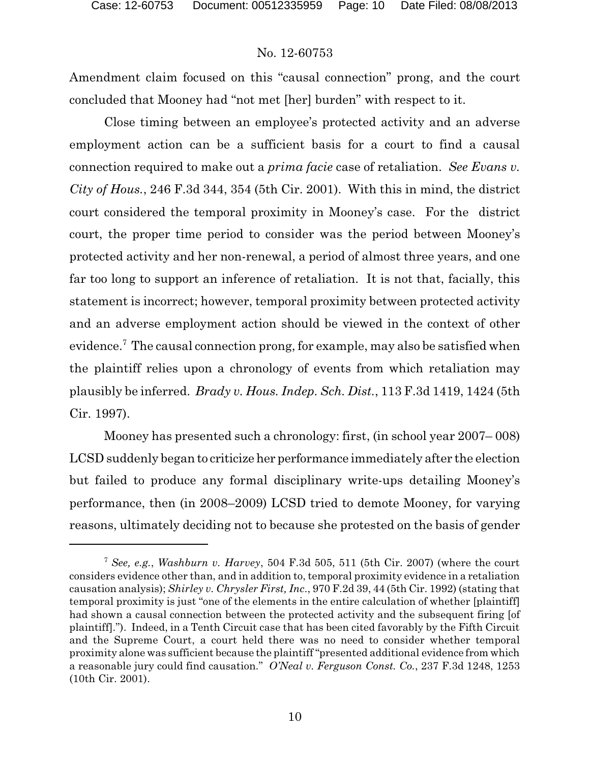Amendment claim focused on this "causal connection" prong, and the court concluded that Mooney had "not met [her] burden" with respect to it.

Close timing between an employee's protected activity and an adverse employment action can be a sufficient basis for a court to find a causal connection required to make out a *prima facie* case of retaliation. *See Evans v. City of Hous.*, 246 F.3d 344, 354 (5th Cir. 2001). With this in mind, the district court considered the temporal proximity in Mooney's case. For the district court, the proper time period to consider was the period between Mooney's protected activity and her non-renewal, a period of almost three years, and one far too long to support an inference of retaliation. It is not that, facially, this statement is incorrect; however, temporal proximity between protected activity and an adverse employment action should be viewed in the context of other evidence.<sup>7</sup> The causal connection prong, for example, may also be satisfied when the plaintiff relies upon a chronology of events from which retaliation may plausibly be inferred. *Brady v. Hous. Indep. Sch. Dist.*, 113 F.3d 1419, 1424 (5th Cir. 1997).

Mooney has presented such a chronology: first, (in school year 2007– 008) LCSD suddenly began to criticize her performance immediately after the election but failed to produce any formal disciplinary write-ups detailing Mooney's performance, then (in 2008–2009) LCSD tried to demote Mooney, for varying reasons, ultimately deciding not to because she protested on the basis of gender

<sup>7</sup> *See, e.g.*, *Washburn v. Harvey*, 504 F.3d 505, 511 (5th Cir. 2007) (where the court considers evidence other than, and in addition to, temporal proximity evidence in a retaliation causation analysis); *Shirley v. Chrysler First, Inc*., 970 F.2d 39, 44 (5th Cir. 1992) (stating that temporal proximity is just "one of the elements in the entire calculation of whether [plaintiff] had shown a causal connection between the protected activity and the subsequent firing [of plaintiff]."). Indeed, in a Tenth Circuit case that has been cited favorably by the Fifth Circuit and the Supreme Court, a court held there was no need to consider whether temporal proximity alone was sufficient because the plaintiff"presented additional evidence from which a reasonable jury could find causation." *O'Neal v. Ferguson Const. Co.*, 237 F.3d 1248, 1253 (10th Cir. 2001).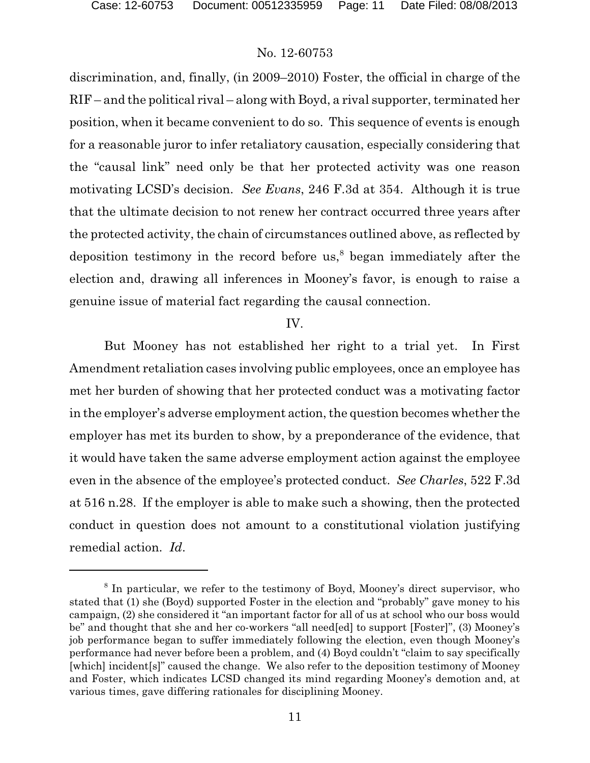discrimination, and, finally, (in 2009–2010) Foster, the official in charge of the RIF – and the political rival – along with Boyd, a rival supporter, terminated her position, when it became convenient to do so. This sequence of events is enough for a reasonable juror to infer retaliatory causation, especially considering that the "causal link" need only be that her protected activity was one reason motivating LCSD's decision. *See Evans*, 246 F.3d at 354. Although it is true that the ultimate decision to not renew her contract occurred three years after the protected activity, the chain of circumstances outlined above, as reflected by deposition testimony in the record before us, 8 began immediately after the election and, drawing all inferences in Mooney's favor, is enough to raise a genuine issue of material fact regarding the causal connection.

# IV.

But Mooney has not established her right to a trial yet. In First Amendment retaliation cases involving public employees, once an employee has met her burden of showing that her protected conduct was a motivating factor in the employer's adverse employment action, the question becomes whether the employer has met its burden to show, by a preponderance of the evidence, that it would have taken the same adverse employment action against the employee even in the absence of the employee's protected conduct. *See Charles*, 522 F.3d at 516 n.28. If the employer is able to make such a showing, then the protected conduct in question does not amount to a constitutional violation justifying remedial action. *Id*.

<sup>&</sup>lt;sup>8</sup> In particular, we refer to the testimony of Boyd, Mooney's direct supervisor, who stated that (1) she (Boyd) supported Foster in the election and "probably" gave money to his campaign, (2) she considered it "an important factor for all of us at school who our boss would be" and thought that she and her co-workers "all need[ed] to support [Foster]", (3) Mooney's job performance began to suffer immediately following the election, even though Mooney's performance had never before been a problem, and (4) Boyd couldn't "claim to say specifically [which] incident[s]" caused the change. We also refer to the deposition testimony of Mooney and Foster, which indicates LCSD changed its mind regarding Mooney's demotion and, at various times, gave differing rationales for disciplining Mooney.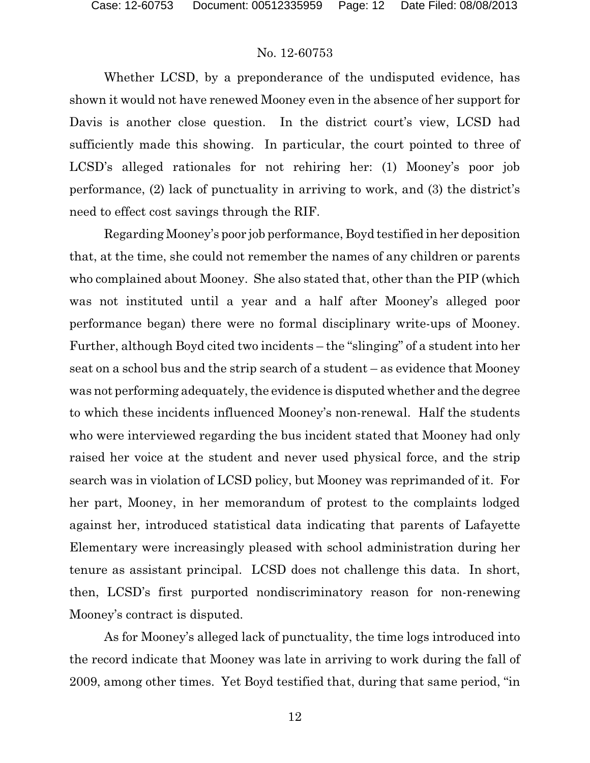Whether LCSD, by a preponderance of the undisputed evidence, has shown it would not have renewed Mooney even in the absence of her support for Davis is another close question. In the district court's view, LCSD had sufficiently made this showing. In particular, the court pointed to three of LCSD's alleged rationales for not rehiring her: (1) Mooney's poor job performance, (2) lack of punctuality in arriving to work, and (3) the district's need to effect cost savings through the RIF.

Regarding Mooney's poor job performance, Boyd testified in her deposition that, at the time, she could not remember the names of any children or parents who complained about Mooney. She also stated that, other than the PIP (which was not instituted until a year and a half after Mooney's alleged poor performance began) there were no formal disciplinary write-ups of Mooney. Further, although Boyd cited two incidents – the "slinging" of a student into her seat on a school bus and the strip search of a student – as evidence that Mooney was not performing adequately, the evidence is disputed whether and the degree to which these incidents influenced Mooney's non-renewal. Half the students who were interviewed regarding the bus incident stated that Mooney had only raised her voice at the student and never used physical force, and the strip search was in violation of LCSD policy, but Mooney was reprimanded of it. For her part, Mooney, in her memorandum of protest to the complaints lodged against her, introduced statistical data indicating that parents of Lafayette Elementary were increasingly pleased with school administration during her tenure as assistant principal. LCSD does not challenge this data. In short, then, LCSD's first purported nondiscriminatory reason for non-renewing Mooney's contract is disputed.

As for Mooney's alleged lack of punctuality, the time logs introduced into the record indicate that Mooney was late in arriving to work during the fall of 2009, among other times. Yet Boyd testified that, during that same period, "in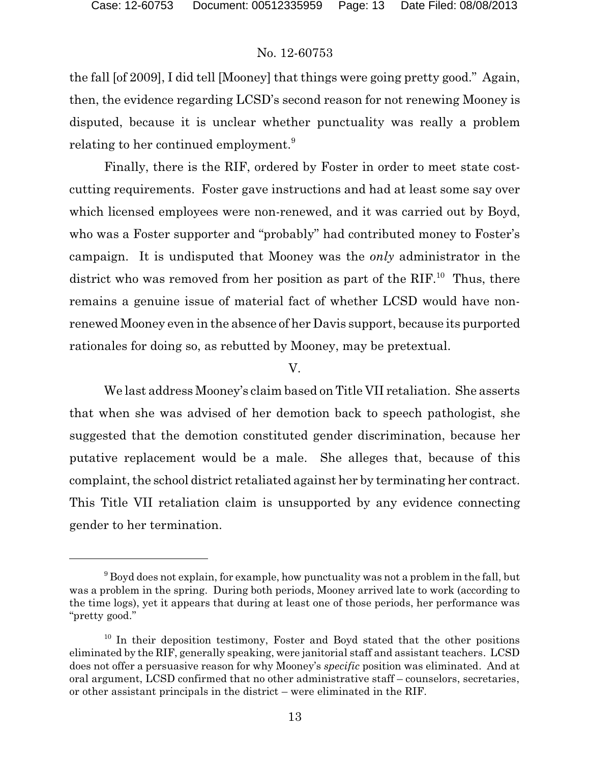the fall [of 2009], I did tell [Mooney] that things were going pretty good." Again, then, the evidence regarding LCSD's second reason for not renewing Mooney is disputed, because it is unclear whether punctuality was really a problem relating to her continued employment.<sup>9</sup>

Finally, there is the RIF, ordered by Foster in order to meet state costcutting requirements. Foster gave instructions and had at least some say over which licensed employees were non-renewed, and it was carried out by Boyd, who was a Foster supporter and "probably" had contributed money to Foster's campaign. It is undisputed that Mooney was the *only* administrator in the district who was removed from her position as part of the  $RIF<sup>10</sup>$ . Thus, there remains a genuine issue of material fact of whether LCSD would have nonrenewed Mooney even in the absence of her Davis support, because its purported rationales for doing so, as rebutted by Mooney, may be pretextual.

V.

We last address Mooney's claim based on Title VII retaliation. She asserts that when she was advised of her demotion back to speech pathologist, she suggested that the demotion constituted gender discrimination, because her putative replacement would be a male. She alleges that, because of this complaint, the school district retaliated against her by terminating her contract. This Title VII retaliation claim is unsupported by any evidence connecting gender to her termination.

 $9^9$  Boyd does not explain, for example, how punctuality was not a problem in the fall, but was a problem in the spring. During both periods, Mooney arrived late to work (according to the time logs), yet it appears that during at least one of those periods, her performance was "pretty good."

<sup>&</sup>lt;sup>10</sup> In their deposition testimony, Foster and Boyd stated that the other positions eliminated by the RIF, generally speaking, were janitorial staff and assistant teachers. LCSD does not offer a persuasive reason for why Mooney's *specific* position was eliminated. And at oral argument, LCSD confirmed that no other administrative staff – counselors, secretaries, or other assistant principals in the district – were eliminated in the RIF.